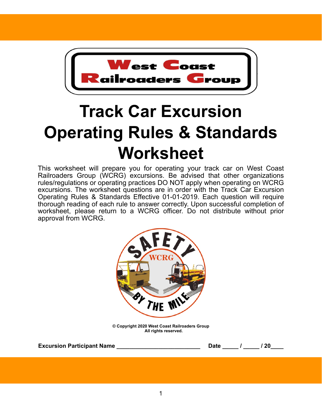

## **Track Car Excursion Operating Rules & Standards Worksheet**

This worksheet will prepare you for operating your track car on West Coast Railroaders Group (WCRG) excursions. Be advised that other organizations rules/regulations or operating practices DO NOT apply when operating on WCRG excursions. The worksheet questions are in order with the Track Car Excursion Operating Rules & Standards Effective 01-01-2019. Each question will require thorough reading of each rule to answer correctly. Upon successful completion of worksheet, please return to a WCRG officer. Do not distribute without prior approval from WCRG.



**© Copyright 2020 West Coast Railroaders Group All rights reserved.**

| <b>Excursion Participant Name</b> |  | Date |  | 20 |  |
|-----------------------------------|--|------|--|----|--|
|-----------------------------------|--|------|--|----|--|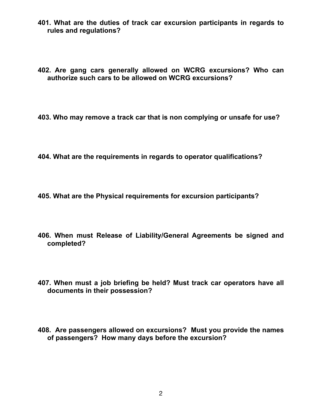- **401. What are the duties of track car excursion participants in regards to rules and regulations?**
- **402. Are gang cars generally allowed on WCRG excursions? Who can authorize such cars to be allowed on WCRG excursions?**
- **403. Who may remove a track car that is non complying or unsafe for use?**
- **404. What are the requirements in regards to operator qualifications?**
- **405. What are the Physical requirements for excursion participants?**
- **406. When must Release of Liability/General Agreements be signed and completed?**
- **407. When must a job briefing be held? Must track car operators have all documents in their possession?**
- **408. Are passengers allowed on excursions? Must you provide the names of passengers? How many days before the excursion?**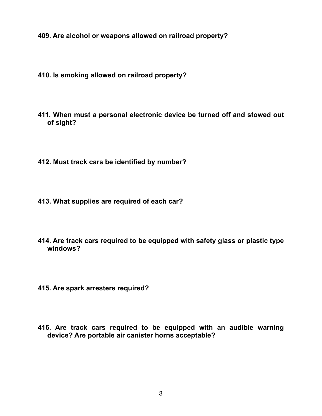**409. Are alcohol or weapons allowed on railroad property?**

- **410. Is smoking allowed on railroad property?**
- **411. When must a personal electronic device be turned off and stowed out of sight?**
- **412. Must track cars be identified by number?**
- **413. What supplies are required of each car?**
- **414. Are track cars required to be equipped with safety glass or plastic type windows?**
- **415. Are spark arresters required?**
- **416. Are track cars required to be equipped with an audible warning device? Are portable air canister horns acceptable?**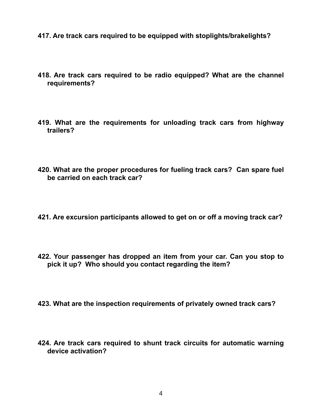- **417. Are track cars required to be equipped with stoplights/brakelights?**
- **418. Are track cars required to be radio equipped? What are the channel requirements?**
- **419. What are the requirements for unloading track cars from highway trailers?**
- **420. What are the proper procedures for fueling track cars? Can spare fuel be carried on each track car?**
- **421. Are excursion participants allowed to get on or off a moving track car?**
- **422. Your passenger has dropped an item from your car. Can you stop to pick it up? Who should you contact regarding the item?**
- **423. What are the inspection requirements of privately owned track cars?**
- **424. Are track cars required to shunt track circuits for automatic warning device activation?**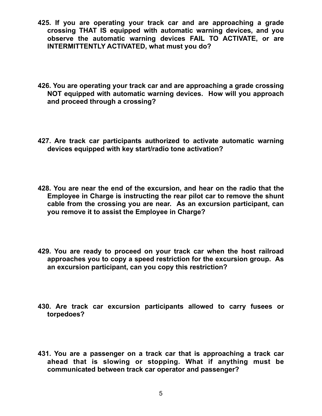- **425. If you are operating your track car and are approaching a grade crossing THAT IS equipped with automatic warning devices, and you observe the automatic warning devices FAIL TO ACTIVATE, or are INTERMITTENTLY ACTIVATED, what must you do?**
- **426. You are operating your track car and are approaching a grade crossing NOT equipped with automatic warning devices. How will you approach and proceed through a crossing?**
- **427. Are track car participants authorized to activate automatic warning devices equipped with key start/radio tone activation?**
- **428. You are near the end of the excursion, and hear on the radio that the Employee in Charge is instructing the rear pilot car to remove the shunt cable from the crossing you are near. As an excursion participant, can you remove it to assist the Employee in Charge?**
- **429. You are ready to proceed on your track car when the host railroad approaches you to copy a speed restriction for the excursion group. As an excursion participant, can you copy this restriction?**
- **430. Are track car excursion participants allowed to carry fusees or torpedoes?**
- **431. You are a passenger on a track car that is approaching a track car ahead that is slowing or stopping. What if anything must be communicated between track car operator and passenger?**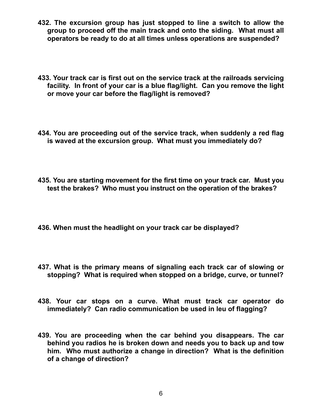- **432. The excursion group has just stopped to line a switch to allow the group to proceed off the main track and onto the siding. What must all operators be ready to do at all times unless operations are suspended?**
- **433. Your track car is first out on the service track at the railroads servicing facility. In front of your car is a blue flag/light. Can you remove the light or move your car before the flag/light is removed?**
- **434. You are proceeding out of the service track, when suddenly a red flag is waved at the excursion group. What must you immediately do?**
- **435. You are starting movement for the first time on your track car. Must you test the brakes? Who must you instruct on the operation of the brakes?**
- **436. When must the headlight on your track car be displayed?**
- **437. What is the primary means of signaling each track car of slowing or stopping? What is required when stopped on a bridge, curve, or tunnel?**
- **438. Your car stops on a curve. What must track car operator do immediately? Can radio communication be used in leu of flagging?**
- **439. You are proceeding when the car behind you disappears. The car behind you radios he is broken down and needs you to back up and tow him. Who must authorize a change in direction? What is the definition of a change of direction?**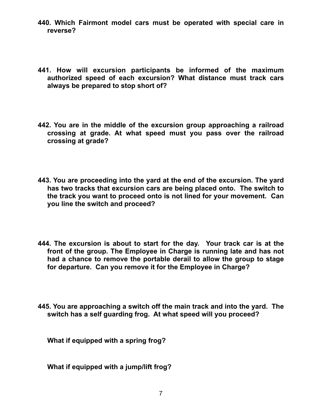- **440. Which Fairmont model cars must be operated with special care in reverse?**
- **441. How will excursion participants be informed of the maximum authorized speed of each excursion? What distance must track cars always be prepared to stop short of?**
- **442. You are in the middle of the excursion group approaching a railroad crossing at grade. At what speed must you pass over the railroad crossing at grade?**
- **443. You are proceeding into the yard at the end of the excursion. The yard has two tracks that excursion cars are being placed onto. The switch to the track you want to proceed onto is not lined for your movement. Can you line the switch and proceed?**
- **444. The excursion is about to start for the day. Your track car is at the front of the group. The Employee in Charge is running late and has not had a chance to remove the portable derail to allow the group to stage for departure. Can you remove it for the Employee in Charge?**
- **445. You are approaching a switch off the main track and into the yard. The switch has a self guarding frog. At what speed will you proceed?**

**What if equipped with a spring frog?** 

**What if equipped with a jump/lift frog?**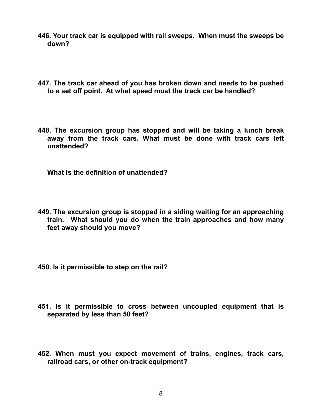- **446. Your track car is equipped with rail sweeps. When must the sweeps be down?**
- **447. The track car ahead of you has broken down and needs to be pushed to a set off point. At what speed must the track car be handled?**
- **448. The excursion group has stopped and will be taking a lunch break away from the track cars. What must be done with track cars left unattended?**

**What is the definition of unattended?**

- **449. The excursion group is stopped in a siding waiting for an approaching train. What should you do when the train approaches and how many feet away should you move?**
- **450. Is it permissible to step on the rail?**
- **451. Is it permissible to cross between uncoupled equipment that is separated by less than 50 feet?**
- **452. When must you expect movement of trains, engines, track cars, railroad cars, or other on-track equipment?**